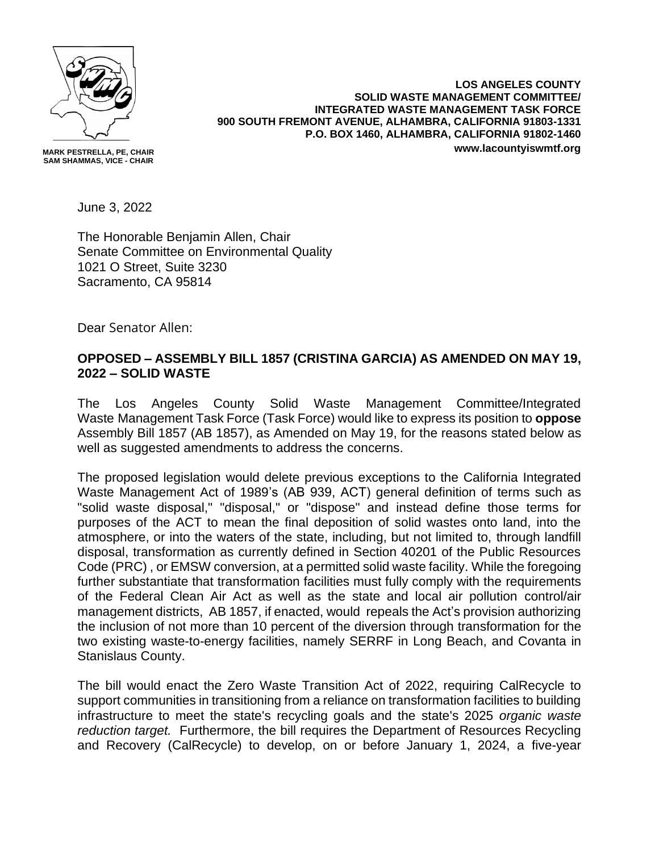

**MARK PESTRELLA, PE, CHAIR SAM SHAMMAS, VICE - CHAIR**

**LOS ANGELES COUNTY SOLID WASTE MANAGEMENT COMMITTEE/ INTEGRATED WASTE MANAGEMENT TASK FORCE 900 SOUTH FREMONT AVENUE, ALHAMBRA, CALIFORNIA 91803-1331 P.O. BOX 1460, ALHAMBRA, CALIFORNIA 91802-1460 www.lacountyiswmtf.org**

June 3, 2022

The Honorable Benjamin Allen, Chair Senate Committee on Environmental Quality 1021 O Street, Suite 3230 Sacramento, CA 95814

Dear Senator Allen:

## **OPPOSED – ASSEMBLY BILL 1857 (CRISTINA GARCIA) AS AMENDED ON MAY 19, 2022 – SOLID WASTE**

The Los Angeles County Solid Waste Management Committee/Integrated Waste Management Task Force (Task Force) would like to express its position to **oppose** Assembly Bill 1857 (AB 1857), as Amended on May 19, for the reasons stated below as well as suggested amendments to address the concerns.

The proposed legislation would delete previous exceptions to the California Integrated Waste Management Act of 1989's (AB 939, ACT) general definition of terms such as "solid waste disposal," "disposal," or "dispose" and instead define those terms for purposes of the ACT to mean the final deposition of solid wastes onto land, into the atmosphere, or into the waters of the state, including, but not limited to, through landfill disposal, transformation as currently defined in Section 40201 of the Public Resources Code (PRC) , or EMSW conversion, at a permitted solid waste facility. While the foregoing further substantiate that transformation facilities must fully comply with the requirements of the Federal Clean Air Act as well as the state and local air pollution control/air management districts, AB 1857, if enacted, would repeals the Act's provision authorizing the inclusion of not more than 10 percent of the diversion through transformation for the two existing waste-to-energy facilities, namely SERRF in Long Beach, and Covanta in Stanislaus County.

The bill would enact the Zero Waste Transition Act of 2022, requiring CalRecycle to support communities in transitioning from a reliance on transformation facilities to building infrastructure to meet the state's recycling goals and the state's 2025 *organic waste reduction target.* Furthermore, the bill requires the Department of Resources Recycling and Recovery (CalRecycle) to develop, on or before January 1, 2024, a five-year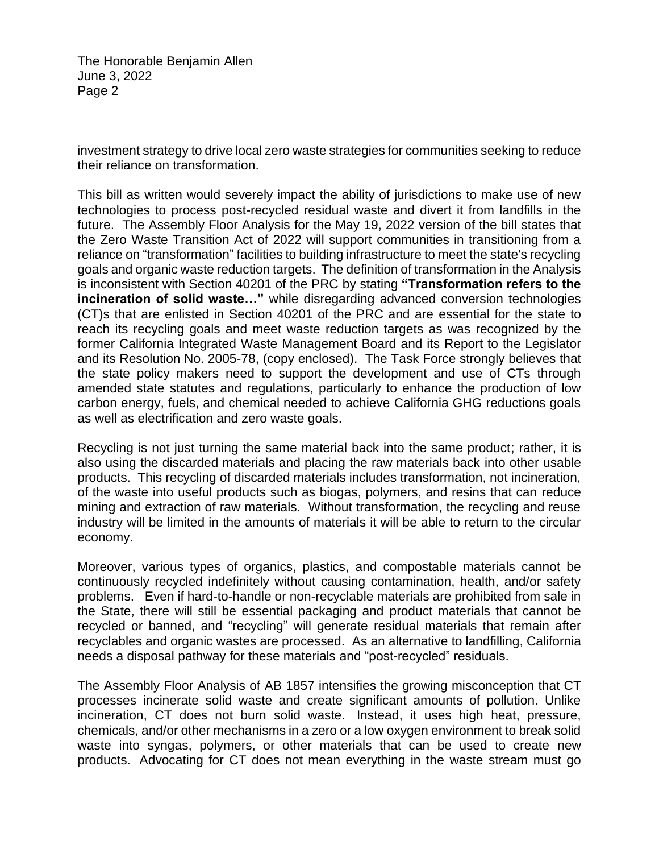The Honorable Benjamin Allen June 3, 2022 Page 2

investment strategy to drive local zero waste strategies for communities seeking to reduce their reliance on transformation.

This bill as written would severely impact the ability of jurisdictions to make use of new technologies to process post-recycled residual waste and divert it from landfills in the future. The Assembly Floor Analysis for the May 19, 2022 version of the bill states that the Zero Waste Transition Act of 2022 will support communities in transitioning from a reliance on "transformation" facilities to building infrastructure to meet the state's recycling goals and organic waste reduction targets. The definition of transformation in the Analysis is inconsistent with Section 40201 of the PRC by stating **"Transformation refers to the incineration of solid waste…"** while disregarding advanced conversion technologies (CT)s that are enlisted in Section 40201 of the PRC and are essential for the state to reach its recycling goals and meet waste reduction targets as was recognized by the former California Integrated Waste Management Board and its Report to the Legislator and its Resolution No. 2005-78, (copy enclosed). The Task Force strongly believes that the state policy makers need to support the development and use of CTs through amended state statutes and regulations, particularly to enhance the production of low carbon energy, fuels, and chemical needed to achieve California GHG reductions goals as well as electrification and zero waste goals.

Recycling is not just turning the same material back into the same product; rather, it is also using the discarded materials and placing the raw materials back into other usable products. This recycling of discarded materials includes transformation, not incineration, of the waste into useful products such as biogas, polymers, and resins that can reduce mining and extraction of raw materials. Without transformation, the recycling and reuse industry will be limited in the amounts of materials it will be able to return to the circular economy.

Moreover, various types of organics, plastics, and compostable materials cannot be continuously recycled indefinitely without causing contamination, health, and/or safety problems. Even if hard-to-handle or non-recyclable materials are prohibited from sale in the State, there will still be essential packaging and product materials that cannot be recycled or banned, and "recycling" will generate residual materials that remain after recyclables and organic wastes are processed. As an alternative to landfilling, California needs a disposal pathway for these materials and "post-recycled" residuals.

The Assembly Floor Analysis of AB 1857 intensifies the growing misconception that CT processes incinerate solid waste and create significant amounts of pollution. Unlike incineration, CT does not burn solid waste. Instead, it uses high heat, pressure, chemicals, and/or other mechanisms in a zero or a low oxygen environment to break solid waste into syngas, polymers, or other materials that can be used to create new products. Advocating for CT does not mean everything in the waste stream must go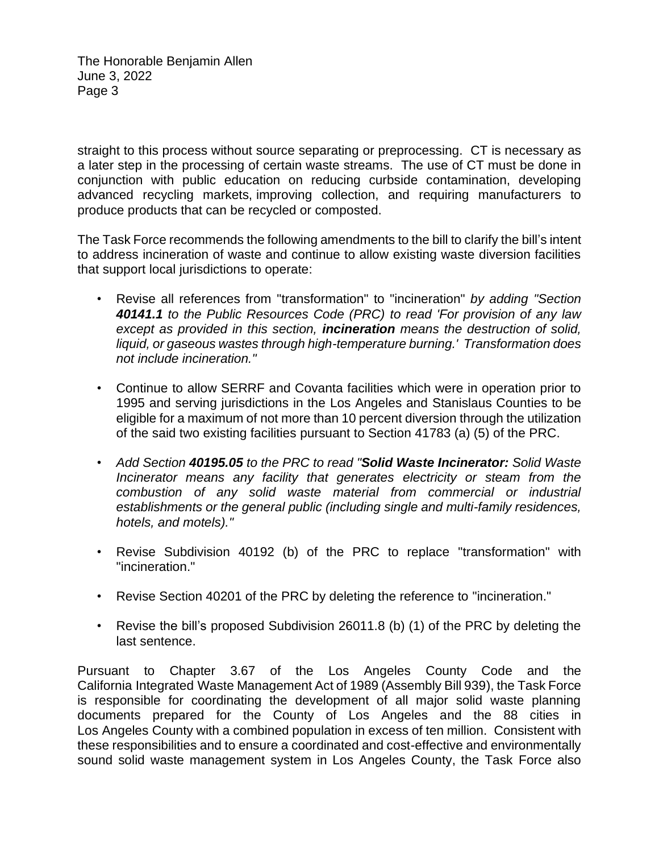The Honorable Benjamin Allen June 3, 2022 Page 3

straight to this process without source separating or preprocessing. CT is necessary as a later step in the processing of certain waste streams. The use of CT must be done in conjunction with public education on reducing curbside contamination, developing advanced recycling markets, improving collection, and requiring manufacturers to produce products that can be recycled or composted.

The Task Force recommends the following amendments to the bill to clarify the bill's intent to address incineration of waste and continue to allow existing waste diversion facilities that support local jurisdictions to operate:

- Revise all references from "transformation" to "incineration" *by adding "Section 40141.1 to the Public Resources Code (PRC) to read 'For provision of any law except as provided in this section, incineration means the destruction of solid, liquid, or gaseous wastes through high-temperature burning.' Transformation does not include incineration."*
- Continue to allow SERRF and Covanta facilities which were in operation prior to 1995 and serving jurisdictions in the Los Angeles and Stanislaus Counties to be eligible for a maximum of not more than 10 percent diversion through the utilization of the said two existing facilities pursuant to Section 41783 (a) (5) of the PRC.
- *Add Section 40195.05 to the PRC to read "Solid Waste Incinerator: Solid Waste Incinerator means any facility that generates electricity or steam from the combustion of any solid waste material from commercial or industrial establishments or the general public (including single and multi-family residences, hotels, and motels)."*
- Revise Subdivision 40192 (b) of the PRC to replace "transformation" with "incineration."
- Revise Section 40201 of the PRC by deleting the reference to "incineration."
- Revise the bill's proposed Subdivision 26011.8 (b) (1) of the PRC by deleting the last sentence.

Pursuant to Chapter 3.67 of the Los Angeles County Code and the California Integrated Waste Management Act of 1989 (Assembly Bill 939), the Task Force is responsible for coordinating the development of all major solid waste planning documents prepared for the County of Los Angeles and the 88 cities in Los Angeles County with a combined population in excess of ten million. Consistent with these responsibilities and to ensure a coordinated and cost-effective and environmentally sound solid waste management system in Los Angeles County, the Task Force also